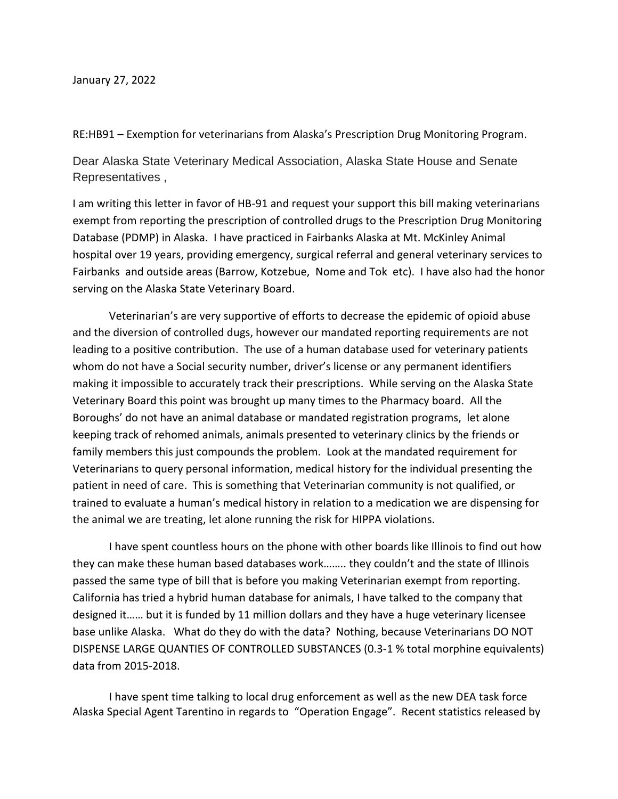January 27, 2022

RE:HB91 – Exemption for veterinarians from Alaska's Prescription Drug Monitoring Program.

Dear Alaska State Veterinary Medical Association, Alaska State House and Senate Representatives ,

I am writing this letter in favor of HB-91 and request your support this bill making veterinarians exempt from reporting the prescription of controlled drugs to the Prescription Drug Monitoring Database (PDMP) in Alaska. I have practiced in Fairbanks Alaska at Mt. McKinley Animal hospital over 19 years, providing emergency, surgical referral and general veterinary services to Fairbanks and outside areas (Barrow, Kotzebue, Nome and Tok etc). I have also had the honor serving on the Alaska State Veterinary Board.

Veterinarian's are very supportive of efforts to decrease the epidemic of opioid abuse and the diversion of controlled dugs, however our mandated reporting requirements are not leading to a positive contribution. The use of a human database used for veterinary patients whom do not have a Social security number, driver's license or any permanent identifiers making it impossible to accurately track their prescriptions. While serving on the Alaska State Veterinary Board this point was brought up many times to the Pharmacy board. All the Boroughs' do not have an animal database or mandated registration programs, let alone keeping track of rehomed animals, animals presented to veterinary clinics by the friends or family members this just compounds the problem. Look at the mandated requirement for Veterinarians to query personal information, medical history for the individual presenting the patient in need of care. This is something that Veterinarian community is not qualified, or trained to evaluate a human's medical history in relation to a medication we are dispensing for the animal we are treating, let alone running the risk for HIPPA violations.

I have spent countless hours on the phone with other boards like Illinois to find out how they can make these human based databases work…….. they couldn't and the state of Illinois passed the same type of bill that is before you making Veterinarian exempt from reporting. California has tried a hybrid human database for animals, I have talked to the company that designed it…… but it is funded by 11 million dollars and they have a huge veterinary licensee base unlike Alaska. What do they do with the data? Nothing, because Veterinarians DO NOT DISPENSE LARGE QUANTIES OF CONTROLLED SUBSTANCES (0.3-1 % total morphine equivalents) data from 2015-2018.

I have spent time talking to local drug enforcement as well as the new DEA task force Alaska Special Agent Tarentino in regards to "Operation Engage". Recent statistics released by